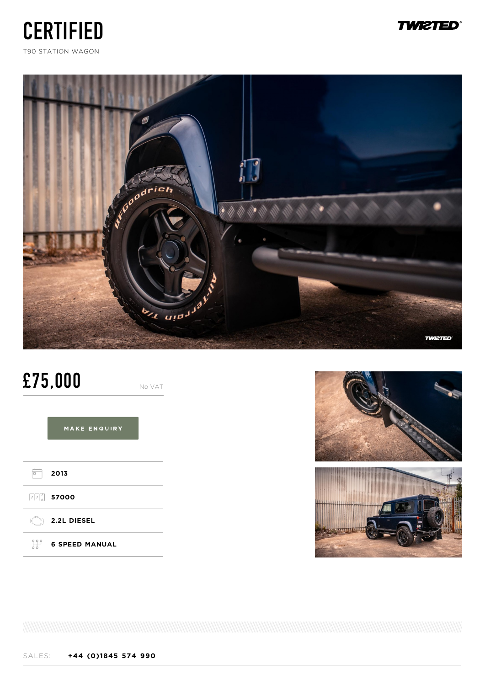





# **£75,000** No VAT

MAKE ENQUIRY